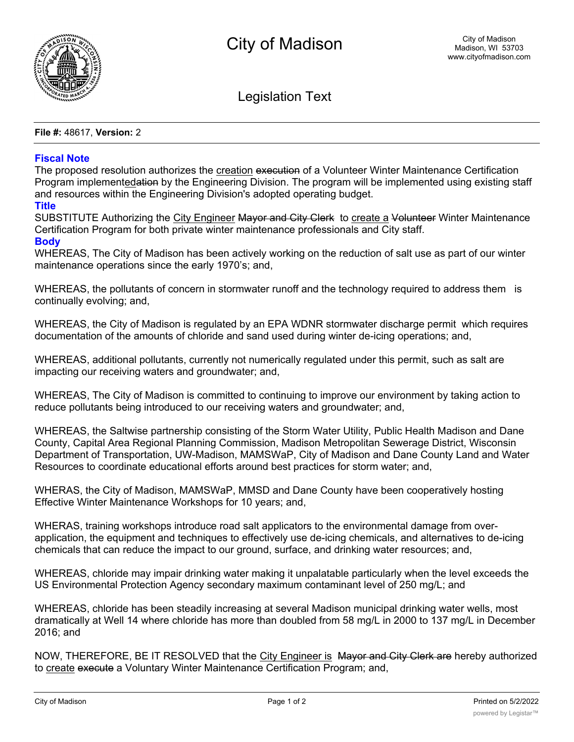

Legislation Text

**File #:** 48617, **Version:** 2

## **Fiscal Note**

The proposed resolution authorizes the creation execution of a Volunteer Winter Maintenance Certification Program implementedation by the Engineering Division. The program will be implemented using existing staff and resources within the Engineering Division's adopted operating budget.

## **Title**

SUBSTITUTE Authorizing the City Engineer Mayor and City Clerk to create a Volunteer Winter Maintenance Certification Program for both private winter maintenance professionals and City staff.

## **Body**

WHEREAS, The City of Madison has been actively working on the reduction of salt use as part of our winter maintenance operations since the early 1970's; and,

WHEREAS, the pollutants of concern in stormwater runoff and the technology required to address them is continually evolving; and,

WHEREAS, the City of Madison is regulated by an EPA WDNR stormwater discharge permit which requires documentation of the amounts of chloride and sand used during winter de-icing operations; and,

WHEREAS, additional pollutants, currently not numerically regulated under this permit, such as salt are impacting our receiving waters and groundwater; and,

WHEREAS, The City of Madison is committed to continuing to improve our environment by taking action to reduce pollutants being introduced to our receiving waters and groundwater; and,

WHEREAS, the Saltwise partnership consisting of the Storm Water Utility, Public Health Madison and Dane County, Capital Area Regional Planning Commission, Madison Metropolitan Sewerage District, Wisconsin Department of Transportation, UW-Madison, MAMSWaP, City of Madison and Dane County Land and Water Resources to coordinate educational efforts around best practices for storm water; and,

WHERAS, the City of Madison, MAMSWaP, MMSD and Dane County have been cooperatively hosting Effective Winter Maintenance Workshops for 10 years; and,

WHERAS, training workshops introduce road salt applicators to the environmental damage from overapplication, the equipment and techniques to effectively use de-icing chemicals, and alternatives to de-icing chemicals that can reduce the impact to our ground, surface, and drinking water resources; and,

WHEREAS, chloride may impair drinking water making it unpalatable particularly when the level exceeds the US Environmental Protection Agency secondary maximum contaminant level of 250 mg/L; and

WHEREAS, chloride has been steadily increasing at several Madison municipal drinking water wells, most dramatically at Well 14 where chloride has more than doubled from 58 mg/L in 2000 to 137 mg/L in December 2016; and

NOW, THEREFORE, BE IT RESOLVED that the City Engineer is Mayor and City Clerk are hereby authorized to create execute a Voluntary Winter Maintenance Certification Program; and,